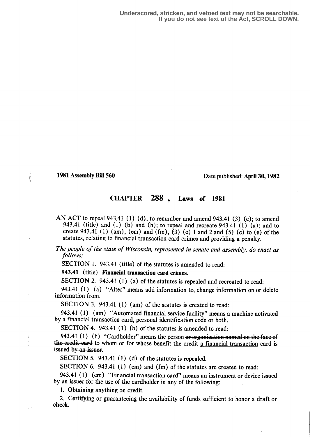## **1981 Assembly Bill 560** Date published: April 30, 1982

## CHAPTER 288 , Laws of 1981

AN ACT to repeal 943.41 (1) (d); to renumber and amend 943.41 (3) (e); to amend 943.41 (title) and (1) (b) and (h); to repeal and recreate 943.41 (1) (a); and to create 943.41 (1) (am), (em) and (fm),  $(3)$  (e) 1 and 2 and (5) (c) to (e) of the statutes, relating to financial transaction card crimes and providing a penalty.

The people of the state of Wisconsin, represented in senate and assembly, do enact as follows:

SECTION 1. 943.41 (title) of the statutes is amended to read:

943.41 (title) Financial transaction card crimes.

SECTION 2. 943.41 (1) (a) of the statutes is repealed and recreated to read:

943.41 (1) (a) "Alter" means add information to, change information on or delete information from.

SECTION 3. 943.41 (1) (am) of the statutes is created to read:

943.41 (1) (am) "Automated financial service facility" means a machine activated by a financial transaction card, personal identification code or both.

SECTION 4. 943.41 (1) (b) of the statutes is amended to read:

943.41 (1) (b) "Cardholder" means the person or organization named on the face of the credit-card to whom or for whose benefit the credit a financial transaction card is issued by an issuer.

SECTION 5. 943.41  $(1)$   $(d)$  of the statutes is repealed.

SECTION 6. 943.41 (1) (em) and (fm) of the statutes are created to read:

943.41 (1) (em) "Financial transaction card" means an instrument or device issued by an issuer for the use of the cardholder in any of the following:

1. Obtaining anything on credit.

2. Certifying or guaranteeing the availability of funds sufficient to honor a draft or check.